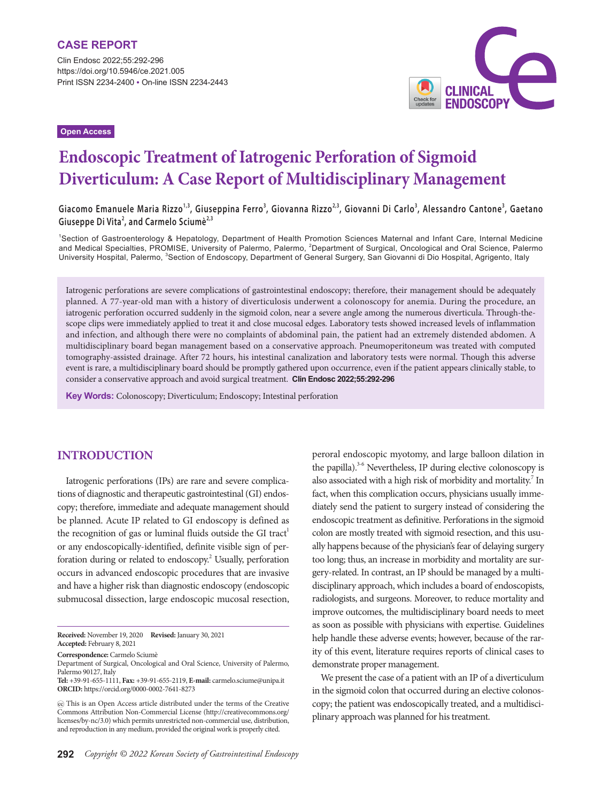Clin Endosc 2022;55:292-296 https://doi.org/10.5946/ce.2021.005 Print ISSN 2234-2400 • On-line ISSN 2234-2443

**Open Access**



# **Endoscopic Treatment of Iatrogenic Perforation of Sigmoid Diverticulum: A Case Report of Multidisciplinary Management**

**Giacomo Emanuele Maria Rizzo1,3, Giuseppina Ferro3 , Giovanna Rizzo2,3, Giovanni Di Carlo3 , Alessandro Cantone<sup>3</sup> , Gaetano Giuseppe Di Vita<sup>2</sup> , and Carmelo Sciumè2,3**

1 Section of Gastroenterology & Hepatology, Department of Health Promotion Sciences Maternal and Infant Care, Internal Medicine and Medical Specialties, PROMISE, University of Palermo, Palermo, <sup>2</sup>Department of Surgical, Oncological and Oral Science, Palermo University Hospital, Palermo, <sup>3</sup>Section of Endoscopy, Department of General Surgery, San Giovanni di Dio Hospital, Agrigento, Italy

Iatrogenic perforations are severe complications of gastrointestinal endoscopy; therefore, their management should be adequately planned. A 77-year-old man with a history of diverticulosis underwent a colonoscopy for anemia. During the procedure, an iatrogenic perforation occurred suddenly in the sigmoid colon, near a severe angle among the numerous diverticula. Through-thescope clips were immediately applied to treat it and close mucosal edges. Laboratory tests showed increased levels of inflammation and infection, and although there were no complaints of abdominal pain, the patient had an extremely distended abdomen. A multidisciplinary board began management based on a conservative approach. Pneumoperitoneum was treated with computed tomography-assisted drainage. After 72 hours, his intestinal canalization and laboratory tests were normal. Though this adverse event is rare, a multidisciplinary board should be promptly gathered upon occurrence, even if the patient appears clinically stable, to consider a conservative approach and avoid surgical treatment. **Clin Endosc 2022;55:292-296**

**Key Words:** Colonoscopy; Diverticulum; Endoscopy; Intestinal perforation

# **INTRODUCTION**

Iatrogenic perforations (IPs) are rare and severe complications of diagnostic and therapeutic gastrointestinal (GI) endoscopy; therefore, immediate and adequate management should be planned. Acute IP related to GI endoscopy is defined as the recognition of gas or luminal fluids outside the GI tract<sup>1</sup> or any endoscopically-identified, definite visible sign of perforation during or related to endoscopy.<sup>2</sup> Usually, perforation occurs in advanced endoscopic procedures that are invasive and have a higher risk than diagnostic endoscopy (endoscopic submucosal dissection, large endoscopic mucosal resection,

**Received:** November 19, 2020 **Revised:** January 30, 2021 **Accepted:** February 8, 2021

**Correspondence:** Carmelo Sciumè

Department of Surgical, Oncological and Oral Science, University of Palermo, Palermo 90127, Italy

the papilla).<sup>3-6</sup> Nevertheless, IP during elective colonoscopy is also associated with a high risk of morbidity and mortality.<sup>7</sup> In fact, when this complication occurs, physicians usually immediately send the patient to surgery instead of considering the endoscopic treatment as definitive. Perforations in the sigmoid colon are mostly treated with sigmoid resection, and this usually happens because of the physician's fear of delaying surgery too long; thus, an increase in morbidity and mortality are surgery-related. In contrast, an IP should be managed by a multidisciplinary approach, which includes a board of endoscopists, radiologists, and surgeons. Moreover, to reduce mortality and improve outcomes, the multidisciplinary board needs to meet as soon as possible with physicians with expertise. Guidelines help handle these adverse events; however, because of the rarity of this event, literature requires reports of clinical cases to demonstrate proper management.

peroral endoscopic myotomy, and large balloon dilation in

We present the case of a patient with an IP of a diverticulum in the sigmoid colon that occurred during an elective colonoscopy; the patient was endoscopically treated, and a multidisciplinary approach was planned for his treatment.

**Tel:** +39-91-655-1111, **Fax:** +39-91-655-2119, **E-mail:** carmelo.sciume@unipa.it **ORCID:** https://orcid.org/0000-0002-7641-8273

This is an Open Access article distributed under the terms of the Creative Commons Attribution Non-Commercial License (http://creativecommons.org/ licenses/by-nc/3.0) which permits unrestricted non-commercial use, distribution, and reproduction in any medium, provided the original work is properly cited.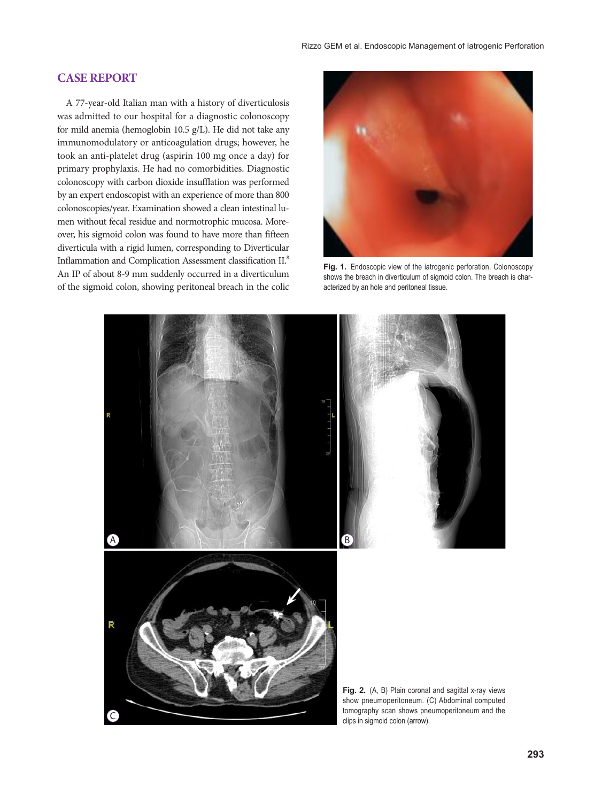### **CASE REPORT**

A 77-year-old Italian man with a history of diverticulosis was admitted to our hospital for a diagnostic colonoscopy for mild anemia (hemoglobin 10.5 g/L). He did not take any immunomodulatory or anticoagulation drugs; however, he took an anti-platelet drug (aspirin 100 mg once a day) for primary prophylaxis. He had no comorbidities. Diagnostic colonoscopy with carbon dioxide insufflation was performed by an expert endoscopist with an experience of more than 800 colonoscopies/year. Examination showed a clean intestinal lumen without fecal residue and normotrophic mucosa. Moreover, his sigmoid colon was found to have more than fifteen diverticula with a rigid lumen, corresponding to Diverticular Inflammation and Complication Assessment classification II.8 An IP of about 8-9 mm suddenly occurred in a diverticulum of the sigmoid colon, showing peritoneal breach in the colic



**Fig. 1.** Endoscopic view of the iatrogenic perforation. Colonoscopy shows the breach in diverticulum of sigmoid colon. The breach is characterized by an hole and peritoneal tissue.

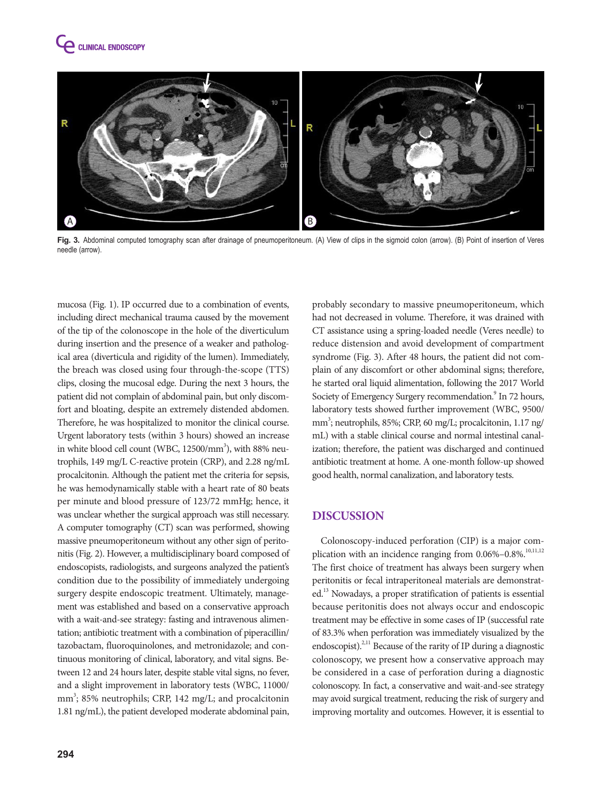



**Fig. 3.** Abdominal computed tomography scan after drainage of pneumoperitoneum. (A) View of clips in the sigmoid colon (arrow). (B) Point of insertion of Veres needle (arrow).

mucosa (Fig. 1). IP occurred due to a combination of events, including direct mechanical trauma caused by the movement of the tip of the colonoscope in the hole of the diverticulum during insertion and the presence of a weaker and pathological area (diverticula and rigidity of the lumen). Immediately, the breach was closed using four through-the-scope (TTS) clips, closing the mucosal edge. During the next 3 hours, the patient did not complain of abdominal pain, but only discomfort and bloating, despite an extremely distended abdomen. Therefore, he was hospitalized to monitor the clinical course. Urgent laboratory tests (within 3 hours) showed an increase in white blood cell count (WBC,  $12500/\mathrm{mm}^3$ ), with 88% neutrophils, 149 mg/L C-reactive protein (CRP), and 2.28 ng/mL procalcitonin. Although the patient met the criteria for sepsis, he was hemodynamically stable with a heart rate of 80 beats per minute and blood pressure of 123/72 mmHg; hence, it was unclear whether the surgical approach was still necessary. A computer tomography (CT) scan was performed, showing massive pneumoperitoneum without any other sign of peritonitis (Fig. 2). However, a multidisciplinary board composed of endoscopists, radiologists, and surgeons analyzed the patient's condition due to the possibility of immediately undergoing surgery despite endoscopic treatment. Ultimately, management was established and based on a conservative approach with a wait-and-see strategy: fasting and intravenous alimentation; antibiotic treatment with a combination of piperacillin/ tazobactam, fluoroquinolones, and metronidazole; and continuous monitoring of clinical, laboratory, and vital signs. Between 12 and 24 hours later, despite stable vital signs, no fever, and a slight improvement in laboratory tests (WBC, 11000/ mm<sup>3</sup>; 85% neutrophils; CRP, 142 mg/L; and procalcitonin 1.81 ng/mL), the patient developed moderate abdominal pain,

probably secondary to massive pneumoperitoneum, which had not decreased in volume. Therefore, it was drained with CT assistance using a spring-loaded needle (Veres needle) to reduce distension and avoid development of compartment syndrome (Fig. 3). After 48 hours, the patient did not complain of any discomfort or other abdominal signs; therefore, he started oral liquid alimentation, following the 2017 World Society of Emergency Surgery recommendation.<sup>9</sup> In 72 hours, laboratory tests showed further improvement (WBC, 9500/ mm<sup>3</sup>; neutrophils, 85%; CRP, 60 mg/L; procalcitonin, 1.17 ng/ mL) with a stable clinical course and normal intestinal canalization; therefore, the patient was discharged and continued antibiotic treatment at home. A one-month follow-up showed good health, normal canalization, and laboratory tests.

# **DISCUSSION**

Colonoscopy-induced perforation (CIP) is a major complication with an incidence ranging from 0.06%-0.8%.<sup>10,11,12</sup> The first choice of treatment has always been surgery when peritonitis or fecal intraperitoneal materials are demonstrated.13 Nowadays, a proper stratification of patients is essential because peritonitis does not always occur and endoscopic treatment may be effective in some cases of IP (successful rate of 83.3% when perforation was immediately visualized by the endoscopist).<sup>2,11</sup> Because of the rarity of IP during a diagnostic colonoscopy, we present how a conservative approach may be considered in a case of perforation during a diagnostic colonoscopy. In fact, a conservative and wait-and-see strategy may avoid surgical treatment, reducing the risk of surgery and improving mortality and outcomes. However, it is essential to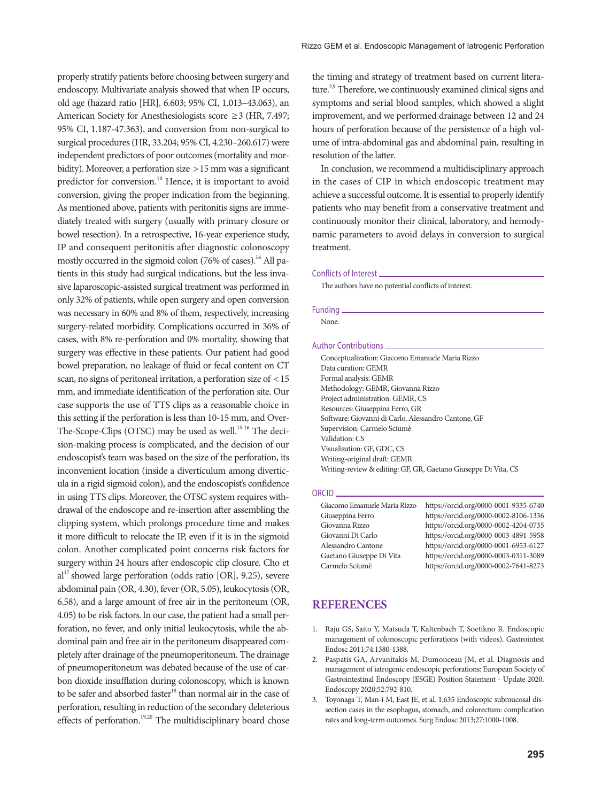properly stratify patients before choosing between surgery and endoscopy. Multivariate analysis showed that when IP occurs, old age (hazard ratio [HR], 6.603; 95% CI, 1.013–43.063), an American Society for Anesthesiologists score ≥3 (HR, 7.497; 95% CI, 1.187-47.363), and conversion from non-surgical to surgical procedures (HR, 33.204; 95% CI, 4.230–260.617) were independent predictors of poor outcomes (mortality and morbidity). Moreover, a perforation size >15 mm was a significant predictor for conversion.<sup>10</sup> Hence, it is important to avoid conversion, giving the proper indication from the beginning. As mentioned above, patients with peritonitis signs are immediately treated with surgery (usually with primary closure or bowel resection). In a retrospective, 16-year experience study, IP and consequent peritonitis after diagnostic colonoscopy mostly occurred in the sigmoid colon (76% of cases).<sup>14</sup> All patients in this study had surgical indications, but the less invasive laparoscopic-assisted surgical treatment was performed in only 32% of patients, while open surgery and open conversion was necessary in 60% and 8% of them, respectively, increasing surgery-related morbidity. Complications occurred in 36% of cases, with 8% re-perforation and 0% mortality, showing that surgery was effective in these patients. Our patient had good bowel preparation, no leakage of fluid or fecal content on CT scan, no signs of peritoneal irritation, a perforation size of <15 mm, and immediate identification of the perforation site. Our case supports the use of TTS clips as a reasonable choice in this setting if the perforation is less than 10-15 mm, and Over-The-Scope-Clips (OTSC) may be used as well.<sup>15-16</sup> The decision-making process is complicated, and the decision of our endoscopist's team was based on the size of the perforation, its inconvenient location (inside a diverticulum among diverticula in a rigid sigmoid colon), and the endoscopist's confidence in using TTS clips. Moreover, the OTSC system requires withdrawal of the endoscope and re-insertion after assembling the clipping system, which prolongs procedure time and makes it more difficult to relocate the IP, even if it is in the sigmoid colon. Another complicated point concerns risk factors for surgery within 24 hours after endoscopic clip closure. Cho et  $al^{17}$  showed large perforation (odds ratio [OR], 9.25), severe abdominal pain (OR, 4.30), fever (OR, 5.05), leukocytosis (OR, 6.58), and a large amount of free air in the peritoneum (OR, 4.05) to be risk factors.In our case, the patient had a small perforation, no fever, and only initial leukocytosis, while the abdominal pain and free air in the peritoneum disappeared completely after drainage of the pneumoperitoneum. The drainage of pneumoperitoneum was debated because of the use of carbon dioxide insufflation during colonoscopy, which is known to be safer and absorbed faster<sup>18</sup> than normal air in the case of perforation, resulting in reduction of the secondary deleterious effects of perforation.<sup>19,20</sup> The multidisciplinary board chose

the timing and strategy of treatment based on current literature.<sup>2,9</sup> Therefore, we continuously examined clinical signs and symptoms and serial blood samples, which showed a slight improvement, and we performed drainage between 12 and 24 hours of perforation because of the persistence of a high volume of intra-abdominal gas and abdominal pain, resulting in resolution of the latter.

In conclusion, we recommend a multidisciplinary approach in the cases of CIP in which endoscopic treatment may achieve a successful outcome. It is essential to properly identify patients who may benefit from a conservative treatment and continuously monitor their clinical, laboratory, and hemodynamic parameters to avoid delays in conversion to surgical treatment.

#### Conflicts of Interest

The authors have no potential conflicts of interest.

#### Funding

None.

#### Author Contributions

Conceptualization: Giacomo Emanuele Maria Rizzo Data curation: GEMR Formal analysis: GEMR Methodology: GEMR, Giovanna Rizzo Project administration: GEMR, CS Resources: Giuseppina Ferro, GR Software: Giovanni di Carlo, Alessandro Cantone, GF Supervision: Carmelo Sciumè Validation: CS Visualization: GF, GDC, CS Writing-original draft: GEMR Writing-review & editing: GF, GR, Gaetano Giuseppe Di Vita, CS

#### ORCID

| Giacomo Emanuele Maria Rizzo | https://orcid.org/0000-0001-9335-6740 |
|------------------------------|---------------------------------------|
|                              |                                       |
| Giuseppina Ferro             | https://orcid.org/0000-0002-8106-1336 |
| Giovanna Rizzo               | https://orcid.org/0000-0002-4204-0735 |
| Giovanni Di Carlo            | https://orcid.org/0000-0003-4891-5958 |
| Alessandro Cantone           | https://orcid.org/0000-0001-6953-6127 |
| Gaetano Giuseppe Di Vita     | https://orcid.org/0000-0003-0311-3089 |
| Carmelo Sciumè               | https://orcid.org/0000-0002-7641-8273 |
|                              |                                       |

## **REFERENCES**

- 1. Raju GS, Saito Y, Matsuda T, Kaltenbach T, Soetikno R. Endoscopic management of colonoscopic perforations (with videos). Gastrointest Endosc 2011;74:1380-1388.
- 2. Paspatis GA, Arvanitakis M, Dumonceau JM, et al. Diagnosis and management of iatrogenic endoscopic perforations: European Society of Gastrointestinal Endoscopy (ESGE) Position Statement - Update 2020. Endoscopy 2020;52:792-810.
- 3. Toyonaga T, Man-i M, East JE, et al. 1,635 Endoscopic submucosal dissection cases in the esophagus, stomach, and colorectum: complication rates and long-term outcomes. Surg Endosc 2013;27:1000-1008.